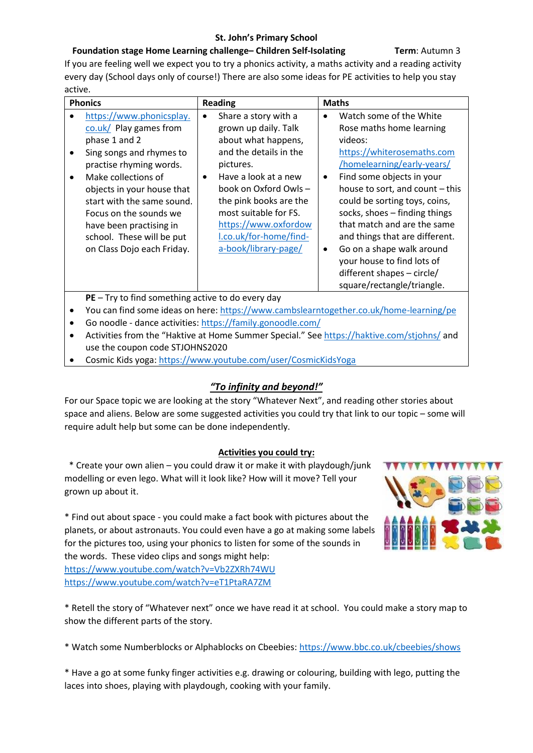### **St. John's Primary School**

## **Foundation stage Home Learning challenge– Children Self-Isolating Term**: Autumn 3

If you are feeling well we expect you to try a phonics activity, a maths activity and a reading activity every day (School days only of course!) There are also some ideas for PE activities to help you stay active.

| <b>Phonics</b>                                                                                                                                                                                                                                                                                                                                                                             | <b>Reading</b>                                                                                                                                                                                                                                                                                                     | <b>Maths</b>                                                                                                                                                                                                                                                                                                                                                                                                                                                                                |
|--------------------------------------------------------------------------------------------------------------------------------------------------------------------------------------------------------------------------------------------------------------------------------------------------------------------------------------------------------------------------------------------|--------------------------------------------------------------------------------------------------------------------------------------------------------------------------------------------------------------------------------------------------------------------------------------------------------------------|---------------------------------------------------------------------------------------------------------------------------------------------------------------------------------------------------------------------------------------------------------------------------------------------------------------------------------------------------------------------------------------------------------------------------------------------------------------------------------------------|
| https://www.phonicsplay.<br>$\frac{\text{col.} \mathsf{u} \mathsf{k}}{\text{cl.}}$ Play games from<br>phase 1 and 2<br>Sing songs and rhymes to<br>practise rhyming words.<br>Make collections of<br>$\bullet$<br>objects in your house that<br>start with the same sound.<br>Focus on the sounds we<br>have been practising in<br>school. These will be put<br>on Class Dojo each Friday. | Share a story with a<br>$\bullet$<br>grown up daily. Talk<br>about what happens,<br>and the details in the<br>pictures.<br>Have a look at a new<br>$\bullet$<br>book on Oxford Owls -<br>the pink books are the<br>most suitable for FS.<br>https://www.oxfordow<br>I.co.uk/for-home/find-<br>a-book/library-page/ | Watch some of the White<br>$\bullet$<br>Rose maths home learning<br>videos:<br>https://whiterosemaths.com<br>/homelearning/early-years/<br>Find some objects in your<br>$\bullet$<br>house to sort, and count - this<br>could be sorting toys, coins,<br>socks, shoes - finding things<br>that match and are the same<br>and things that are different.<br>Go on a shape walk around<br>$\bullet$<br>your house to find lots of<br>different shapes - circle/<br>square/rectangle/triangle. |
| $PE - Try$ to find something active to do every day                                                                                                                                                                                                                                                                                                                                        |                                                                                                                                                                                                                                                                                                                    |                                                                                                                                                                                                                                                                                                                                                                                                                                                                                             |

• You can find some ideas on here:<https://www.cambslearntogether.co.uk/home-learning/pe>

- Go noodle dance activities:<https://family.gonoodle.com/>
- Activities from the "Haktive at Home Summer Special." See<https://haktive.com/stjohns/> and use the coupon code STJOHNS2020
- Cosmic Kids yoga[: https://www.youtube.com/user/CosmicKidsYoga](https://www.youtube.com/user/CosmicKidsYoga)

# *"To infinity and beyond!"*

For our Space topic we are looking at the story "Whatever Next", and reading other stories about space and aliens. Below are some suggested activities you could try that link to our topic – some will require adult help but some can be done independently.

### **Activities you could try:**

 \* Create your own alien – you could draw it or make it with playdough/junk modelling or even lego. What will it look like? How will it move? Tell your grown up about it.

\* Find out about space - you could make a fact book with pictures about the planets, or about astronauts. You could even have a go at making some labels for the pictures too, using your phonics to listen for some of the sounds in the words. These video clips and songs might help:

<https://www.youtube.com/watch?v=Vb2ZXRh74WU> <https://www.youtube.com/watch?v=eT1PtaRA7ZM>

\* Retell the story of "Whatever next" once we have read it at school. You could make a story map to show the different parts of the story.

\* Watch some Numberblocks or Alphablocks on Cbeebies:<https://www.bbc.co.uk/cbeebies/shows>

\* Have a go at some funky finger activities e.g. drawing or colouring, building with lego, putting the laces into shoes, playing with playdough, cooking with your family.